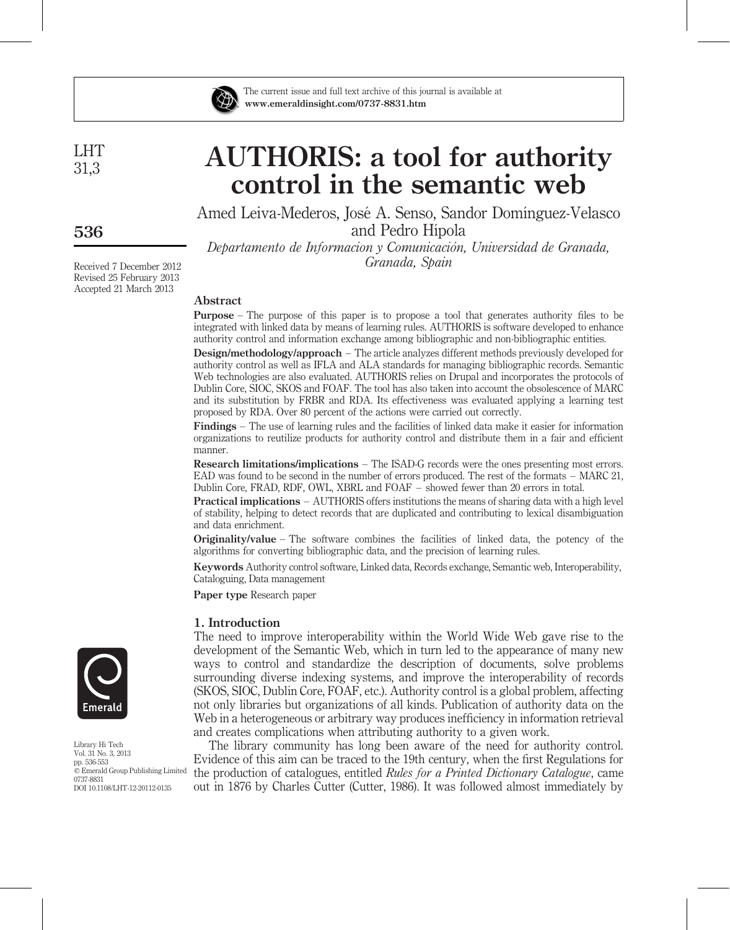

The current issue and full text archive of this journal is available at www.emeraldinsight.com/0737-8831.htm

LHT 31,3

## 536

Received 7 December 2012 Revised 25 February 2013 Accepted 21 March 2013

# AUTHORIS: a tool for authority control in the semantic web

Amed Leiva-Mederos, José A. Senso, Sandor Domínguez-Velasco

and Pedro Hípola

Departamento de Informacion y Comunicación, Universidad de Granada, Granada, Spain

### Abstract

Purpose – The purpose of this paper is to propose a tool that generates authority files to be integrated with linked data by means of learning rules. AUTHORIS is software developed to enhance authority control and information exchange among bibliographic and non-bibliographic entities.

Design/methodology/approach – The article analyzes different methods previously developed for authority control as well as IFLA and ALA standards for managing bibliographic records. Semantic Web technologies are also evaluated. AUTHORIS relies on Drupal and incorporates the protocols of Dublin Core, SIOC, SKOS and FOAF. The tool has also taken into account the obsolescence of MARC and its substitution by FRBR and RDA. Its effectiveness was evaluated applying a learning test proposed by RDA. Over 80 percent of the actions were carried out correctly.

Findings – The use of learning rules and the facilities of linked data make it easier for information organizations to reutilize products for authority control and distribute them in a fair and efficient manner.

Research limitations/implications – The ISAD-G records were the ones presenting most errors. EAD was found to be second in the number of errors produced. The rest of the formats – MARC 21, Dublin Core, FRAD, RDF, OWL, XBRL and FOAF – showed fewer than 20 errors in total.

Practical implications – AUTHORIS offers institutions the means of sharing data with a high level of stability, helping to detect records that are duplicated and contributing to lexical disambiguation and data enrichment.

**Originality/value** – The software combines the facilities of linked data, the potency of the algorithms for converting bibliographic data, and the precision of learning rules.

Keywords Authority control software, Linked data, Records exchange, Semantic web, Interoperability, Cataloguing, Data management

Paper type Research paper

## 1. Introduction

The need to improve interoperability within the World Wide Web gave rise to the development of the Semantic Web, which in turn led to the appearance of many new ways to control and standardize the description of documents, solve problems surrounding diverse indexing systems, and improve the interoperability of records (SKOS, SIOC, Dublin Core, FOAF, etc.). Authority control is a global problem, affecting not only libraries but organizations of all kinds. Publication of authority data on the Web in a heterogeneous or arbitrary way produces inefficiency in information retrieval and creates complications when attributing authority to a given work.

The library community has long been aware of the need for authority control. Evidence of this aim can be traced to the 19th century, when the first Regulations for the production of catalogues, entitled Rules for a Printed Dictionary Catalogue, came out in 1876 by Charles Cutter (Cutter, 1986). It was followed almost immediately by



Library Hi Tech Vol. 31 No. 3, 2013 pp. 536-553  $©$  Emerald Group Publishing Limited 0737-8831 DOI 10.1108/LHT-12-20112-0135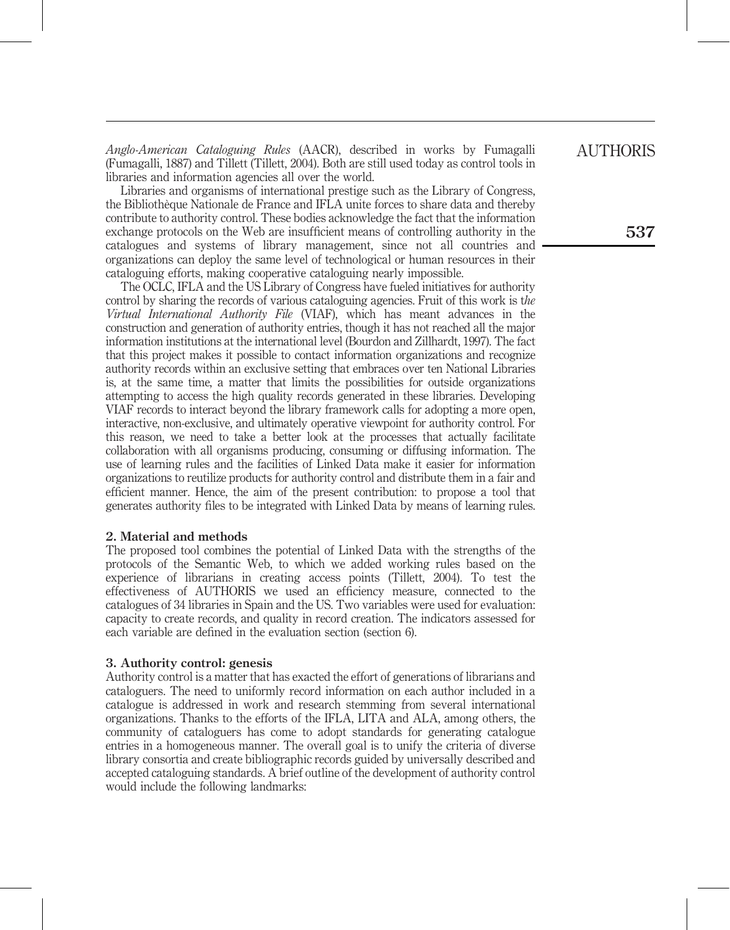Anglo-American Cataloguing Rules (AACR), described in works by Fumagalli (Fumagalli, 1887) and Tillett (Tillett, 2004). Both are still used today as control tools in libraries and information agencies all over the world.

Libraries and organisms of international prestige such as the Library of Congress, the Bibliothe`que Nationale de France and IFLA unite forces to share data and thereby contribute to authority control. These bodies acknowledge the fact that the information exchange protocols on the Web are insufficient means of controlling authority in the catalogues and systems of library management, since not all countries and organizations can deploy the same level of technological or human resources in their cataloguing efforts, making cooperative cataloguing nearly impossible.

The OCLC, IFLA and the US Library of Congress have fueled initiatives for authority control by sharing the records of various cataloguing agencies. Fruit of this work is the Virtual International Authority File (VIAF), which has meant advances in the construction and generation of authority entries, though it has not reached all the major information institutions at the international level (Bourdon and Zillhardt, 1997). The fact that this project makes it possible to contact information organizations and recognize authority records within an exclusive setting that embraces over ten National Libraries is, at the same time, a matter that limits the possibilities for outside organizations attempting to access the high quality records generated in these libraries. Developing VIAF records to interact beyond the library framework calls for adopting a more open, interactive, non-exclusive, and ultimately operative viewpoint for authority control. For this reason, we need to take a better look at the processes that actually facilitate collaboration with all organisms producing, consuming or diffusing information. The use of learning rules and the facilities of Linked Data make it easier for information organizations to reutilize products for authority control and distribute them in a fair and efficient manner. Hence, the aim of the present contribution: to propose a tool that generates authority files to be integrated with Linked Data by means of learning rules.

#### 2. Material and methods

The proposed tool combines the potential of Linked Data with the strengths of the protocols of the Semantic Web, to which we added working rules based on the experience of librarians in creating access points (Tillett, 2004). To test the effectiveness of AUTHORIS we used an efficiency measure, connected to the catalogues of 34 libraries in Spain and the US. Two variables were used for evaluation: capacity to create records, and quality in record creation. The indicators assessed for each variable are defined in the evaluation section (section 6).

#### 3. Authority control: genesis

Authority control is a matter that has exacted the effort of generations of librarians and cataloguers. The need to uniformly record information on each author included in a catalogue is addressed in work and research stemming from several international organizations. Thanks to the efforts of the IFLA, LITA and ALA, among others, the community of cataloguers has come to adopt standards for generating catalogue entries in a homogeneous manner. The overall goal is to unify the criteria of diverse library consortia and create bibliographic records guided by universally described and accepted cataloguing standards. A brief outline of the development of authority control would include the following landmarks:

537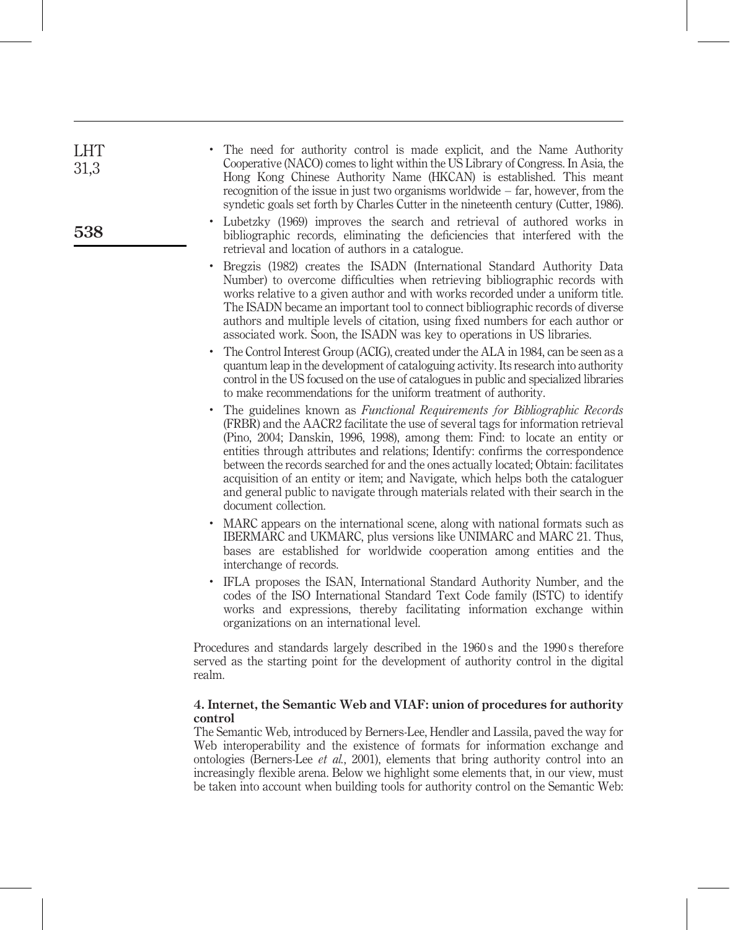| <b>LHT</b><br>31,3 | • The need for authority control is made explicit, and the Name Authority<br>Cooperative (NACO) comes to light within the US Library of Congress. In Asia, the<br>Hong Kong Chinese Authority Name (HKCAN) is established. This meant<br>recognition of the issue in just two organisms worldwide $-$ far, however, from the<br>syndetic goals set forth by Charles Cutter in the nineteenth century (Cutter, 1986). |
|--------------------|----------------------------------------------------------------------------------------------------------------------------------------------------------------------------------------------------------------------------------------------------------------------------------------------------------------------------------------------------------------------------------------------------------------------|
| 538                | • Lubetzky (1969) improves the search and retrieval of authored works in<br>bibliographic records, eliminating the deficiencies that interfered with the<br>retrieval and location of authors in a catalogue.                                                                                                                                                                                                        |

- . Bregzis (1982) creates the ISADN (International Standard Authority Data Number) to overcome difficulties when retrieving bibliographic records with works relative to a given author and with works recorded under a uniform title. The ISADN became an important tool to connect bibliographic records of diverse authors and multiple levels of citation, using fixed numbers for each author or associated work. Soon, the ISADN was key to operations in US libraries.
- . The Control Interest Group (ACIG), created under the ALA in 1984, can be seen as a quantum leap in the development of cataloguing activity. Its research into authority control in the US focused on the use of catalogues in public and specialized libraries to make recommendations for the uniform treatment of authority.
- . The guidelines known as Functional Requirements for Bibliographic Records (FRBR) and the AACR2 facilitate the use of several tags for information retrieval (Pino, 2004; Danskin, 1996, 1998), among them: Find: to locate an entity or entities through attributes and relations; Identify: confirms the correspondence between the records searched for and the ones actually located; Obtain: facilitates acquisition of an entity or item; and Navigate, which helps both the cataloguer and general public to navigate through materials related with their search in the document collection.
- . MARC appears on the international scene, along with national formats such as IBERMARC and UKMARC, plus versions like UNIMARC and MARC 21. Thus, bases are established for worldwide cooperation among entities and the interchange of records.
- . IFLA proposes the ISAN, International Standard Authority Number, and the codes of the ISO International Standard Text Code family (ISTC) to identify works and expressions, thereby facilitating information exchange within organizations on an international level.

Procedures and standards largely described in the 1960 s and the 1990 s therefore served as the starting point for the development of authority control in the digital realm.

### 4. Internet, the Semantic Web and VIAF: union of procedures for authority control

The Semantic Web, introduced by Berners-Lee, Hendler and Lassila, paved the way for Web interoperability and the existence of formats for information exchange and ontologies (Berners-Lee et al., 2001), elements that bring authority control into an increasingly flexible arena. Below we highlight some elements that, in our view, must be taken into account when building tools for authority control on the Semantic Web: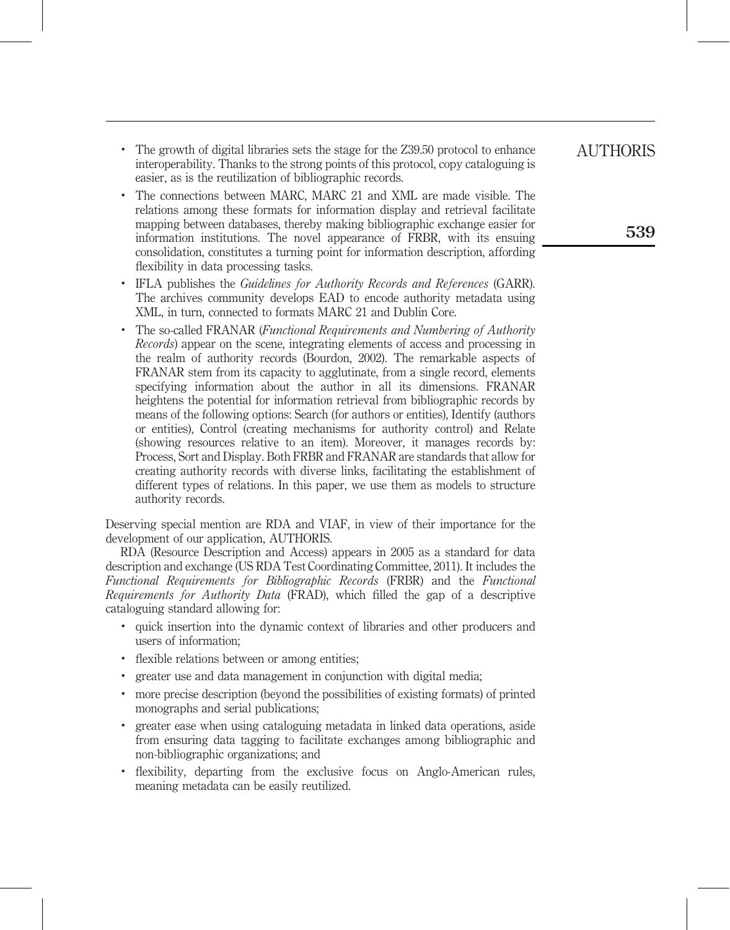- . The growth of digital libraries sets the stage for the Z39.50 protocol to enhance interoperability. Thanks to the strong points of this protocol, copy cataloguing is easier, as is the reutilization of bibliographic records.
- . The connections between MARC, MARC 21 and XML are made visible. The relations among these formats for information display and retrieval facilitate mapping between databases, thereby making bibliographic exchange easier for information institutions. The novel appearance of FRBR, with its ensuing consolidation, constitutes a turning point for information description, affording flexibility in data processing tasks.
- . IFLA publishes the Guidelines for Authority Records and References (GARR). The archives community develops EAD to encode authority metadata using XML, in turn, connected to formats MARC 21 and Dublin Core.
- . The so-called FRANAR (Functional Requirements and Numbering of Authority Records) appear on the scene, integrating elements of access and processing in the realm of authority records (Bourdon, 2002). The remarkable aspects of FRANAR stem from its capacity to agglutinate, from a single record, elements specifying information about the author in all its dimensions. FRANAR heightens the potential for information retrieval from bibliographic records by means of the following options: Search (for authors or entities), Identify (authors or entities), Control (creating mechanisms for authority control) and Relate (showing resources relative to an item). Moreover, it manages records by: Process, Sort and Display. Both FRBR and FRANAR are standards that allow for creating authority records with diverse links, facilitating the establishment of different types of relations. In this paper, we use them as models to structure authority records.

Deserving special mention are RDA and VIAF, in view of their importance for the development of our application, AUTHORIS.

RDA (Resource Description and Access) appears in 2005 as a standard for data description and exchange (US RDA Test Coordinating Committee, 2011). It includes the Functional Requirements for Bibliographic Records (FRBR) and the Functional Requirements for Authority Data (FRAD), which filled the gap of a descriptive cataloguing standard allowing for:

- . quick insertion into the dynamic context of libraries and other producers and users of information;
- . flexible relations between or among entities;
- . greater use and data management in conjunction with digital media;
- . more precise description (beyond the possibilities of existing formats) of printed monographs and serial publications;
- . greater ease when using cataloguing metadata in linked data operations, aside from ensuring data tagging to facilitate exchanges among bibliographic and non-bibliographic organizations; and
- . flexibility, departing from the exclusive focus on Anglo-American rules, meaning metadata can be easily reutilized.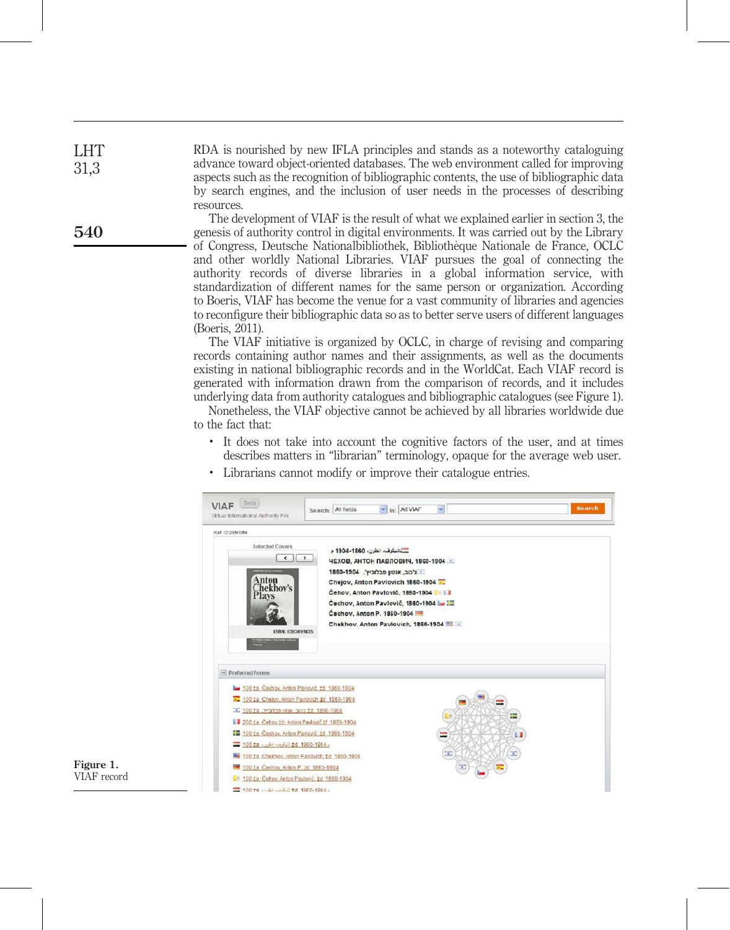RDA is nourished by new IFLA principles and stands as a noteworthy cataloguing advance toward object-oriented databases. The web environment called for improving aspects such as the recognition of bibliographic contents, the use of bibliographic data by search engines, and the inclusion of user needs in the processes of describing resources. LHT 31,3

> The development of VIAF is the result of what we explained earlier in section 3, the genesis of authority control in digital environments. It was carried out by the Library of Congress, Deutsche Nationalbibliothek, Bibliothe`que Nationale de France, OCLC and other worldly National Libraries. VIAF pursues the goal of connecting the authority records of diverse libraries in a global information service, with standardization of different names for the same person or organization. According to Boeris, VIAF has become the venue for a vast community of libraries and agencies to reconfigure their bibliographic data so as to better serve users of different languages (Boeris, 2011).

> The VIAF initiative is organized by OCLC, in charge of revising and comparing records containing author names and their assignments, as well as the documents existing in national bibliographic records and in the WorldCat. Each VIAF record is generated with information drawn from the comparison of records, and it includes underlying data from authority catalogues and bibliographic catalogues (see Figure 1).

> Nonetheless, the VIAF objective cannot be achieved by all libraries worldwide due to the fact that:

- . It does not take into account the cognitive factors of the user, and at times describes matters in "librarian" terminology, opaque for the average web user.
- . Librarians cannot modify or improve their catalogue entries.



Figure 1. VIAF record

540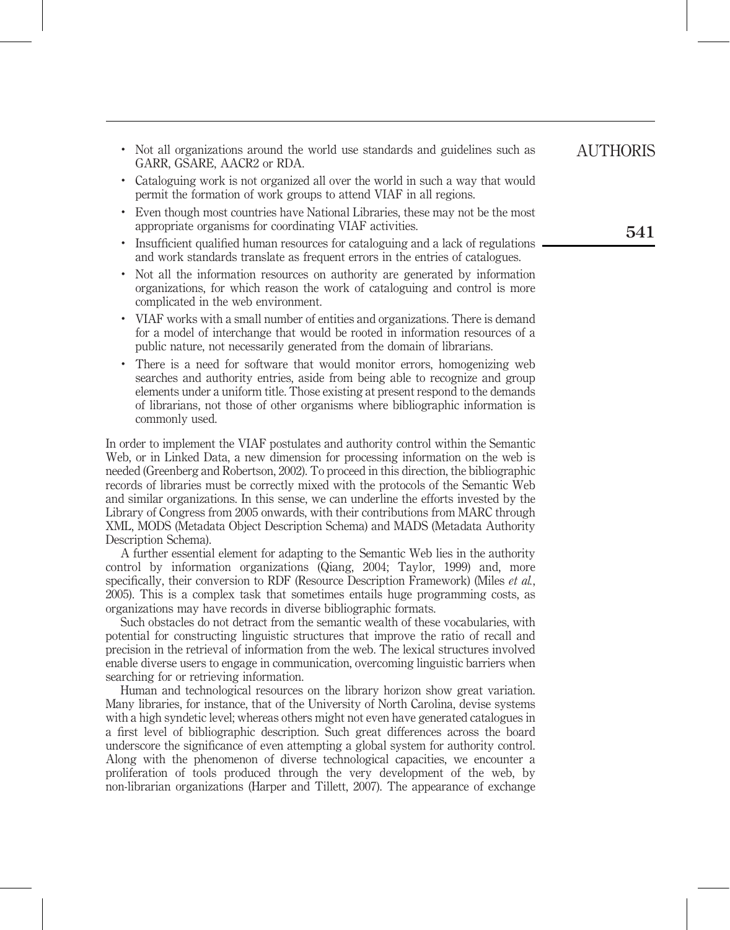- . Not all organizations around the world use standards and guidelines such as GARR, GSARE, AACR2 or RDA.
- . Cataloguing work is not organized all over the world in such a way that would permit the formation of work groups to attend VIAF in all regions.
- . Even though most countries have National Libraries, these may not be the most appropriate organisms for coordinating VIAF activities.
- . Insufficient qualified human resources for cataloguing and a lack of regulations and work standards translate as frequent errors in the entries of catalogues.
- . Not all the information resources on authority are generated by information organizations, for which reason the work of cataloguing and control is more complicated in the web environment.
- . VIAF works with a small number of entities and organizations. There is demand for a model of interchange that would be rooted in information resources of a public nature, not necessarily generated from the domain of librarians.
- . There is a need for software that would monitor errors, homogenizing web searches and authority entries, aside from being able to recognize and group elements under a uniform title. Those existing at present respond to the demands of librarians, not those of other organisms where bibliographic information is commonly used.

In order to implement the VIAF postulates and authority control within the Semantic Web, or in Linked Data, a new dimension for processing information on the web is needed (Greenberg and Robertson, 2002). To proceed in this direction, the bibliographic records of libraries must be correctly mixed with the protocols of the Semantic Web and similar organizations. In this sense, we can underline the efforts invested by the Library of Congress from 2005 onwards, with their contributions from MARC through XML, MODS (Metadata Object Description Schema) and MADS (Metadata Authority Description Schema).

A further essential element for adapting to the Semantic Web lies in the authority control by information organizations (Qiang, 2004; Taylor, 1999) and, more specifically, their conversion to RDF (Resource Description Framework) (Miles et al., 2005). This is a complex task that sometimes entails huge programming costs, as organizations may have records in diverse bibliographic formats.

Such obstacles do not detract from the semantic wealth of these vocabularies, with potential for constructing linguistic structures that improve the ratio of recall and precision in the retrieval of information from the web. The lexical structures involved enable diverse users to engage in communication, overcoming linguistic barriers when searching for or retrieving information.

Human and technological resources on the library horizon show great variation. Many libraries, for instance, that of the University of North Carolina, devise systems with a high syndetic level; whereas others might not even have generated catalogues in a first level of bibliographic description. Such great differences across the board underscore the significance of even attempting a global system for authority control. Along with the phenomenon of diverse technological capacities, we encounter a proliferation of tools produced through the very development of the web, by non-librarian organizations (Harper and Tillett, 2007). The appearance of exchange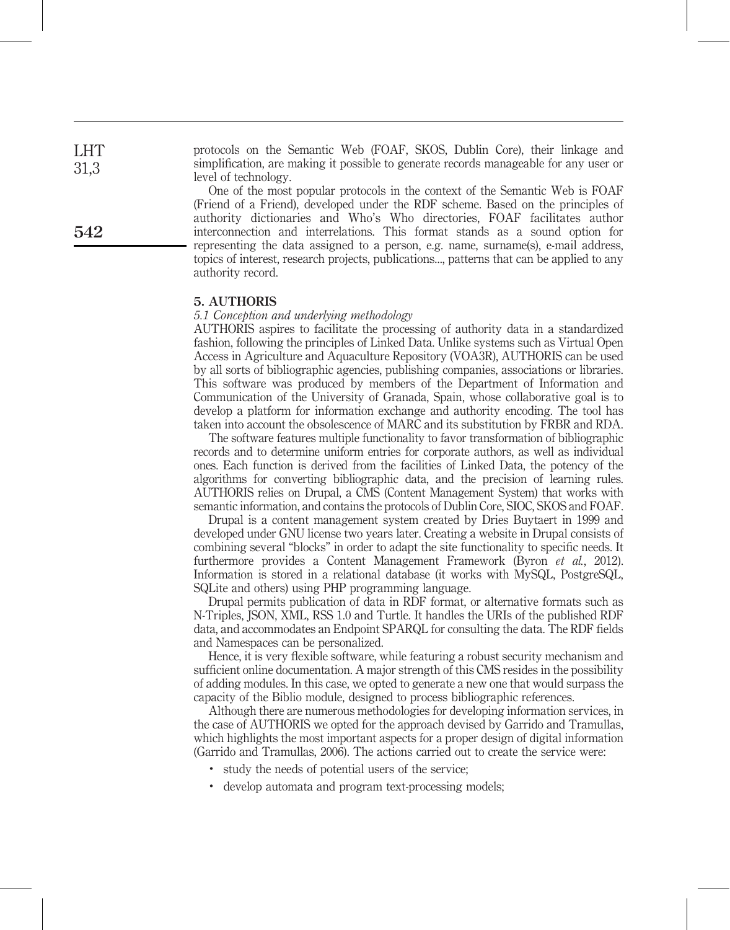protocols on the Semantic Web (FOAF, SKOS, Dublin Core), their linkage and simplification, are making it possible to generate records manageable for any user or level of technology.

One of the most popular protocols in the context of the Semantic Web is FOAF (Friend of a Friend), developed under the RDF scheme. Based on the principles of authority dictionaries and Who's Who directories, FOAF facilitates author interconnection and interrelations. This format stands as a sound option for representing the data assigned to a person, e.g. name, surname(s), e-mail address, topics of interest, research projects, publications..., patterns that can be applied to any authority record.

## 5. AUTHORIS

#### 5.1 Conception and underlying methodology

AUTHORIS aspires to facilitate the processing of authority data in a standardized fashion, following the principles of Linked Data. Unlike systems such as Virtual Open Access in Agriculture and Aquaculture Repository (VOA3R), AUTHORIS can be used by all sorts of bibliographic agencies, publishing companies, associations or libraries. This software was produced by members of the Department of Information and Communication of the University of Granada, Spain, whose collaborative goal is to develop a platform for information exchange and authority encoding. The tool has taken into account the obsolescence of MARC and its substitution by FRBR and RDA.

The software features multiple functionality to favor transformation of bibliographic records and to determine uniform entries for corporate authors, as well as individual ones. Each function is derived from the facilities of Linked Data, the potency of the algorithms for converting bibliographic data, and the precision of learning rules. AUTHORIS relies on Drupal, a CMS (Content Management System) that works with semantic information, and contains the protocols of Dublin Core, SIOC, SKOS and FOAF.

Drupal is a content management system created by Dries Buytaert in 1999 and developed under GNU license two years later. Creating a website in Drupal consists of combining several "blocks" in order to adapt the site functionality to specific needs. It furthermore provides a Content Management Framework (Byron et al., 2012). Information is stored in a relational database (it works with MySQL, PostgreSQL, SQLite and others) using PHP programming language.

Drupal permits publication of data in RDF format, or alternative formats such as N-Triples, JSON, XML, RSS 1.0 and Turtle. It handles the URIs of the published RDF data, and accommodates an Endpoint SPARQL for consulting the data. The RDF fields and Namespaces can be personalized.

Hence, it is very flexible software, while featuring a robust security mechanism and sufficient online documentation. A major strength of this CMS resides in the possibility of adding modules. In this case, we opted to generate a new one that would surpass the capacity of the Biblio module, designed to process bibliographic references.

Although there are numerous methodologies for developing information services, in the case of AUTHORIS we opted for the approach devised by Garrido and Tramullas, which highlights the most important aspects for a proper design of digital information (Garrido and Tramullas, 2006). The actions carried out to create the service were:

- . study the needs of potential users of the service;
- . develop automata and program text-processing models;

LHT 31,3

542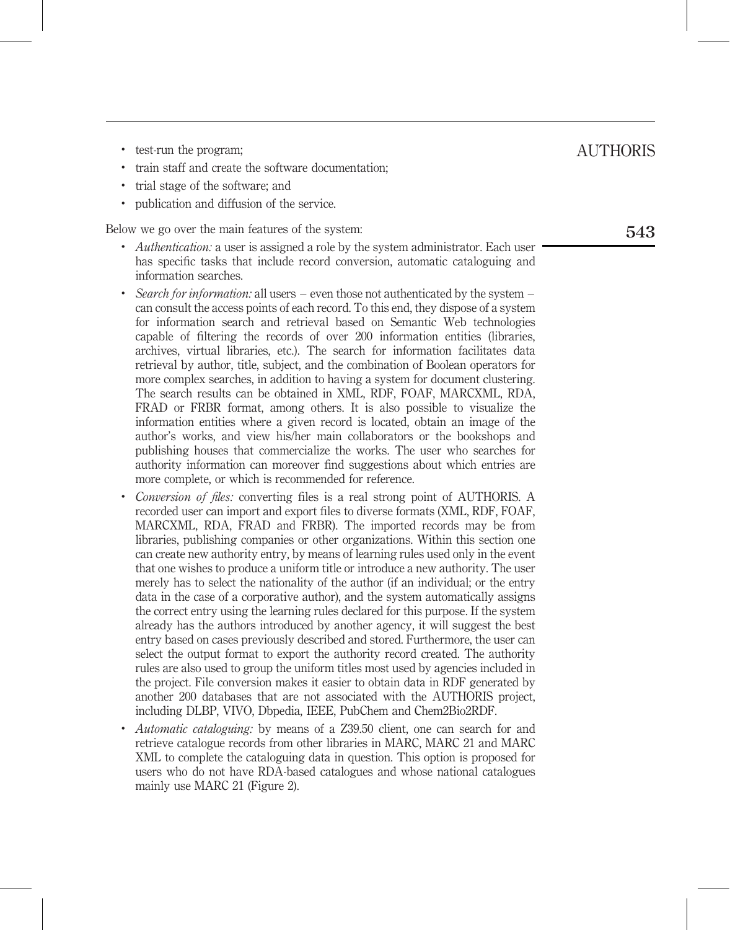- . test-run the program;
- . train staff and create the software documentation;
- . trial stage of the software; and
- . publication and diffusion of the service.

Below we go over the main features of the system:

- . Authentication: a user is assigned a role by the system administrator. Each user has specific tasks that include record conversion, automatic cataloguing and information searches.
- Search for information: all users  $-$  even those not authenticated by the system  $$ can consult the access points of each record. To this end, they dispose of a system for information search and retrieval based on Semantic Web technologies capable of filtering the records of over 200 information entities (libraries, archives, virtual libraries, etc.). The search for information facilitates data retrieval by author, title, subject, and the combination of Boolean operators for more complex searches, in addition to having a system for document clustering. The search results can be obtained in XML, RDF, FOAF, MARCXML, RDA, FRAD or FRBR format, among others. It is also possible to visualize the information entities where a given record is located, obtain an image of the author's works, and view his/her main collaborators or the bookshops and publishing houses that commercialize the works. The user who searches for authority information can moreover find suggestions about which entries are more complete, or which is recommended for reference.
- . Conversion of files: converting files is a real strong point of AUTHORIS. A recorded user can import and export files to diverse formats (XML, RDF, FOAF, MARCXML, RDA, FRAD and FRBR). The imported records may be from libraries, publishing companies or other organizations. Within this section one can create new authority entry, by means of learning rules used only in the event that one wishes to produce a uniform title or introduce a new authority. The user merely has to select the nationality of the author (if an individual; or the entry data in the case of a corporative author), and the system automatically assigns the correct entry using the learning rules declared for this purpose. If the system already has the authors introduced by another agency, it will suggest the best entry based on cases previously described and stored. Furthermore, the user can select the output format to export the authority record created. The authority rules are also used to group the uniform titles most used by agencies included in the project. File conversion makes it easier to obtain data in RDF generated by another 200 databases that are not associated with the AUTHORIS project, including DLBP, VIVO, Dbpedia, IEEE, PubChem and Chem2Bio2RDF.
- . Automatic cataloguing: by means of a Z39.50 client, one can search for and retrieve catalogue records from other libraries in MARC, MARC 21 and MARC XML to complete the cataloguing data in question. This option is proposed for users who do not have RDA-based catalogues and whose national catalogues mainly use MARC 21 (Figure 2).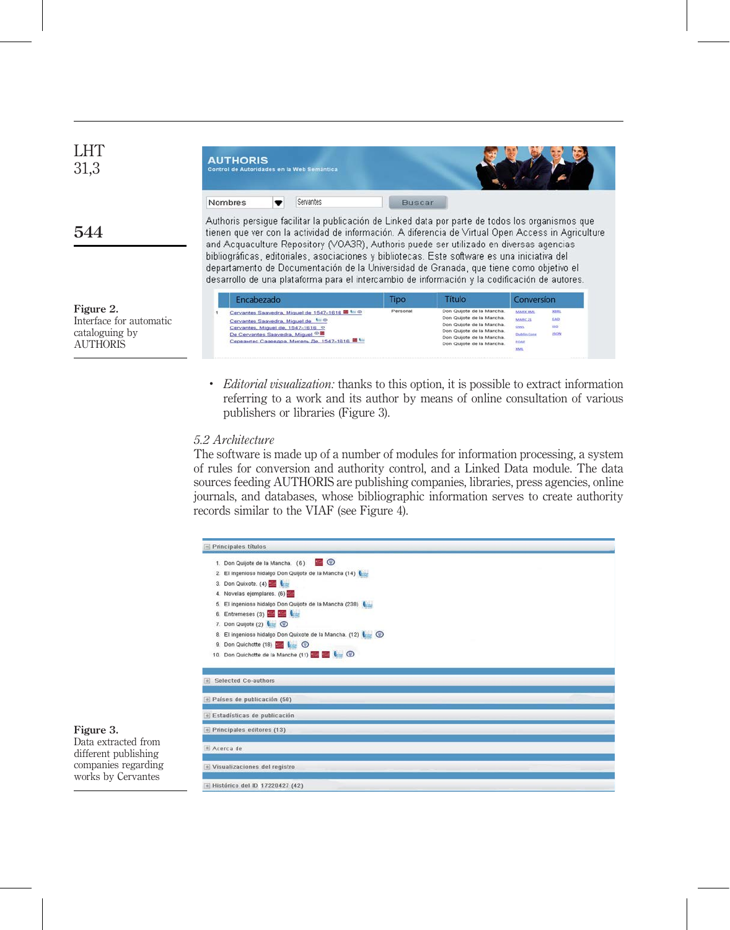

and Acquaculture Repository (VOA3R), Authoris puede ser utilizado en diversas agencias bibliográficas, editoriales, asociaciones y bibliotecas. Este software es una iniciativa del departamento de Documentación de la Universidad de Granada, que tiene como objetivo el desarrollo de una plataforma para el intercambio de información y la codificación de autores.

| Encabezado                                                                                                                                                                                                                         | Tipo     | Título                                                                                                                                                                     | Conversion                                                                          |                                                |
|------------------------------------------------------------------------------------------------------------------------------------------------------------------------------------------------------------------------------------|----------|----------------------------------------------------------------------------------------------------------------------------------------------------------------------------|-------------------------------------------------------------------------------------|------------------------------------------------|
| Cervantes Saavedra, Miquel de 1547-1616 E 1 in @<br>Cervantes Saavedra, Miquel de <sup>6 10</sup><br>Cervantes, Miquel de, 1547-1616 <sup>®</sup><br>De Cervantes Saavedra, Miquel ®<br>Сервантес Савведра, Мигель Де, 1547-1616 - | Personal | Don Quijote de la Mancha.<br>Don Quijote de la Mancha.<br>Don Quijote de la Mancha.<br>Don Quijote de la Mancha.<br>Don Quijote de la Mancha.<br>Don Quijote de la Mancha. | <b>MARK XNIL</b><br><b>MARC21</b><br><b>OWL</b><br><b>Dublin Care</b><br><b>EQM</b> | <b>XDRL</b><br><b>LAD</b><br>ido<br><b>BON</b> |

• Editorial visualization: thanks to this option, it is possible to extract information referring to a work and its author by means of online consultation of various publishers or libraries (Figure 3).

## 5.2 Architecture

The software is made up of a number of modules for information processing, a system of rules for conversion and authority control, and a Linked Data module. The data sources feeding AUTHORIS are publishing companies, libraries, press agencies, online journals, and databases, whose bibliographic information serves to create authority records similar to the VIAF (see Figure 4).

| Don Quijote de la Mancha. (6)<br>1.                                               |  |
|-----------------------------------------------------------------------------------|--|
| 2. El ingenioso hidalgo Don Quijote de la Mancha (14)                             |  |
| 3. Don Quixote. (4)                                                               |  |
| 4. Novelas ejemplares. (6)                                                        |  |
| 5. El ingenioso hidalgo Don Quijote de la Mancha (238) [                          |  |
| 6. Entremeses (3) <b>200 Empty</b>                                                |  |
| 7. Don Quijote (2) the O                                                          |  |
| 8. El ingenioso hidalgo Don Quixote de la Mancha. (12) [mg O                      |  |
| 9. Don Quichotte (18) <b>All Contracts</b>                                        |  |
|                                                                                   |  |
| Selected Co-authors                                                               |  |
|                                                                                   |  |
| 68<br>$\Rightarrow$ Países de publicación (50)<br>$E$ Estadísticas de publicación |  |
| + Principales editores (13)                                                       |  |
|                                                                                   |  |
| * Acerca de<br>· Visualizaciones del registro                                     |  |

## Figure 3.

Figure 2.

Interface for automatic cataloguing by AUTHORIS

Data extracted from different publishing companies regarding works by Cervantes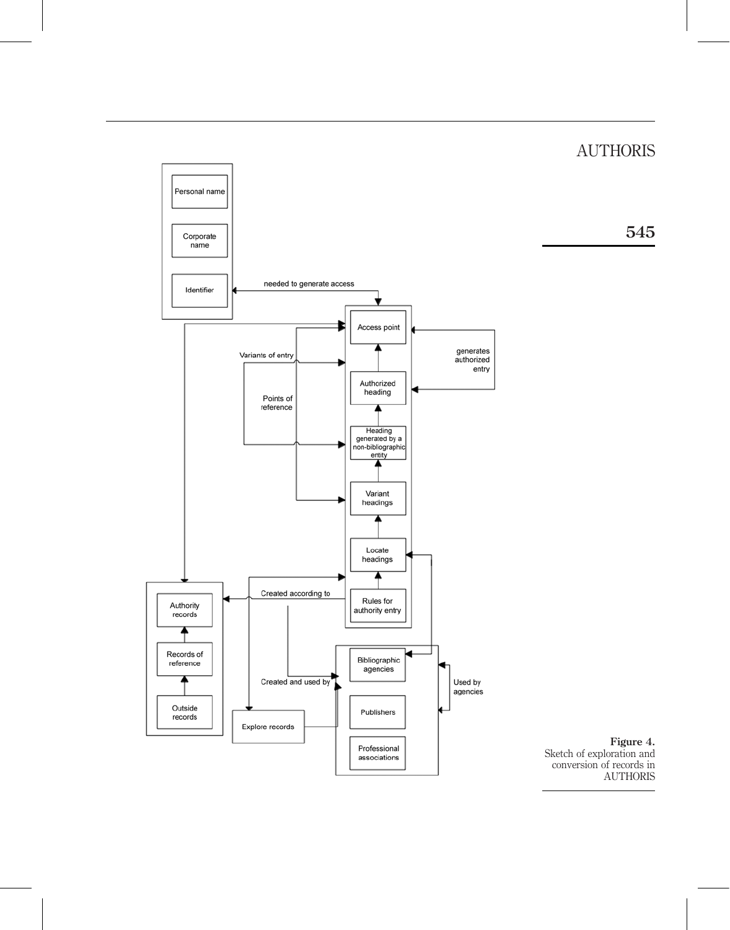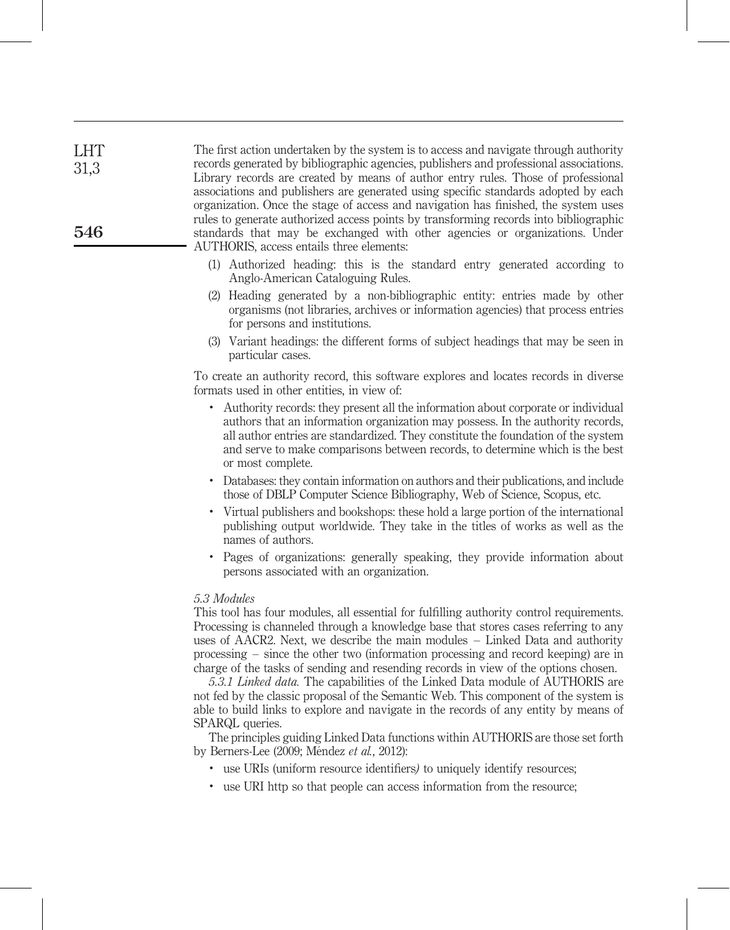| LHT<br>31,3                                     | The first action undertaken by the system is to access and navigate through authority<br>records generated by bibliographic agencies, publishers and professional associations.<br>Library records are created by means of author entry rules. Those of professional                                                                              |
|-------------------------------------------------|---------------------------------------------------------------------------------------------------------------------------------------------------------------------------------------------------------------------------------------------------------------------------------------------------------------------------------------------------|
| 546<br>AUTHORIS, access entails three elements: | associations and publishers are generated using specific standards adopted by each<br>organization. Once the stage of access and navigation has finished, the system uses<br>rules to generate authorized access points by transforming records into bibliographic<br>standards that may be exchanged with other agencies or organizations. Under |

- (1) Authorized heading: this is the standard entry generated according to Anglo-American Cataloguing Rules.
- (2) Heading generated by a non-bibliographic entity: entries made by other organisms (not libraries, archives or information agencies) that process entries for persons and institutions.
- (3) Variant headings: the different forms of subject headings that may be seen in particular cases.

To create an authority record, this software explores and locates records in diverse formats used in other entities, in view of:

- . Authority records: they present all the information about corporate or individual authors that an information organization may possess. In the authority records, all author entries are standardized. They constitute the foundation of the system and serve to make comparisons between records, to determine which is the best or most complete.
- . Databases: they contain information on authors and their publications, and include those of DBLP Computer Science Bibliography, Web of Science, Scopus, etc.
- . Virtual publishers and bookshops: these hold a large portion of the international publishing output worldwide. They take in the titles of works as well as the names of authors.
- . Pages of organizations: generally speaking, they provide information about persons associated with an organization.

### 5.3 Modules

This tool has four modules, all essential for fulfilling authority control requirements. Processing is channeled through a knowledge base that stores cases referring to any uses of AACR2. Next, we describe the main modules – Linked Data and authority processing – since the other two (information processing and record keeping) are in charge of the tasks of sending and resending records in view of the options chosen.

5.3.1 Linked data. The capabilities of the Linked Data module of AUTHORIS are not fed by the classic proposal of the Semantic Web. This component of the system is able to build links to explore and navigate in the records of any entity by means of SPARQL queries.

The principles guiding Linked Data functions within AUTHORIS are those set forth by Berners-Lee  $(2009; Méndez et al., 2012):$ 

- . use URIs (uniform resource identifiers) to uniquely identify resources;
- . use URI http so that people can access information from the resource;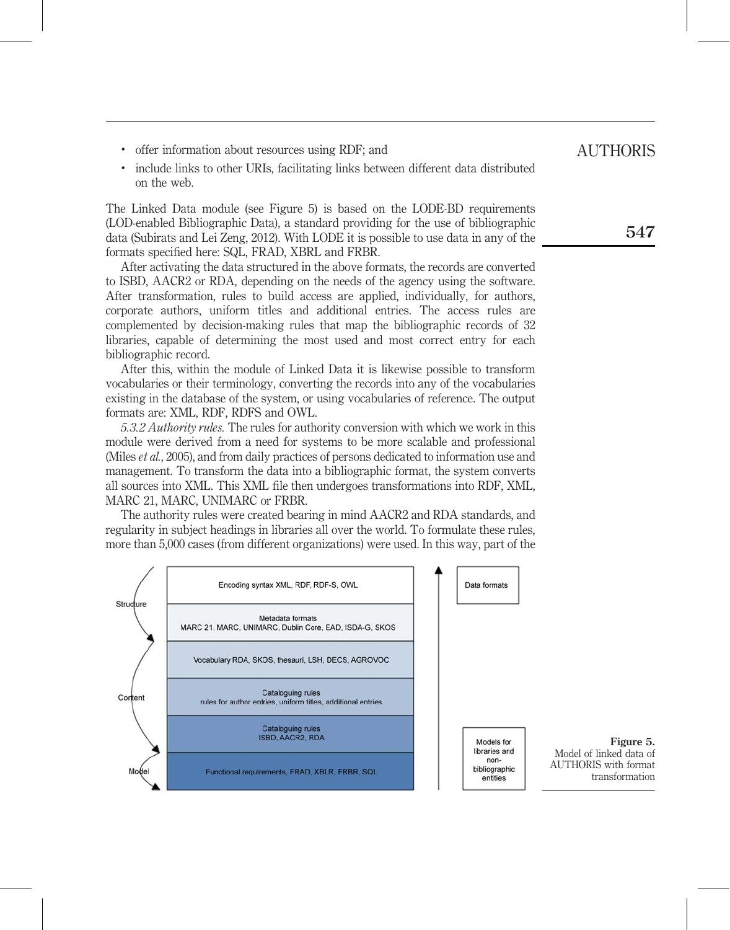- . offer information about resources using RDF; and
- . include links to other URIs, facilitating links between different data distributed on the web.

The Linked Data module (see Figure 5) is based on the LODE-BD requirements (LOD-enabled Bibliographic Data), a standard providing for the use of bibliographic data (Subirats and Lei Zeng, 2012). With LODE it is possible to use data in any of the formats specified here: SQL, FRAD, XBRL and FRBR.

After activating the data structured in the above formats, the records are converted to ISBD, AACR2 or RDA, depending on the needs of the agency using the software. After transformation, rules to build access are applied, individually, for authors, corporate authors, uniform titles and additional entries. The access rules are complemented by decision-making rules that map the bibliographic records of 32 libraries, capable of determining the most used and most correct entry for each bibliographic record.

After this, within the module of Linked Data it is likewise possible to transform vocabularies or their terminology, converting the records into any of the vocabularies existing in the database of the system, or using vocabularies of reference. The output formats are: XML, RDF, RDFS and OWL.

5.3.2 Authority rules. The rules for authority conversion with which we work in this module were derived from a need for systems to be more scalable and professional (Miles et al., 2005), and from daily practices of persons dedicated to information use and management. To transform the data into a bibliographic format, the system converts all sources into XML. This XML file then undergoes transformations into RDF, XML, MARC 21, MARC, UNIMARC or FRBR.

The authority rules were created bearing in mind AACR2 and RDA standards, and regularity in subject headings in libraries all over the world. To formulate these rules, more than 5,000 cases (from different organizations) were used. In this way, part of the

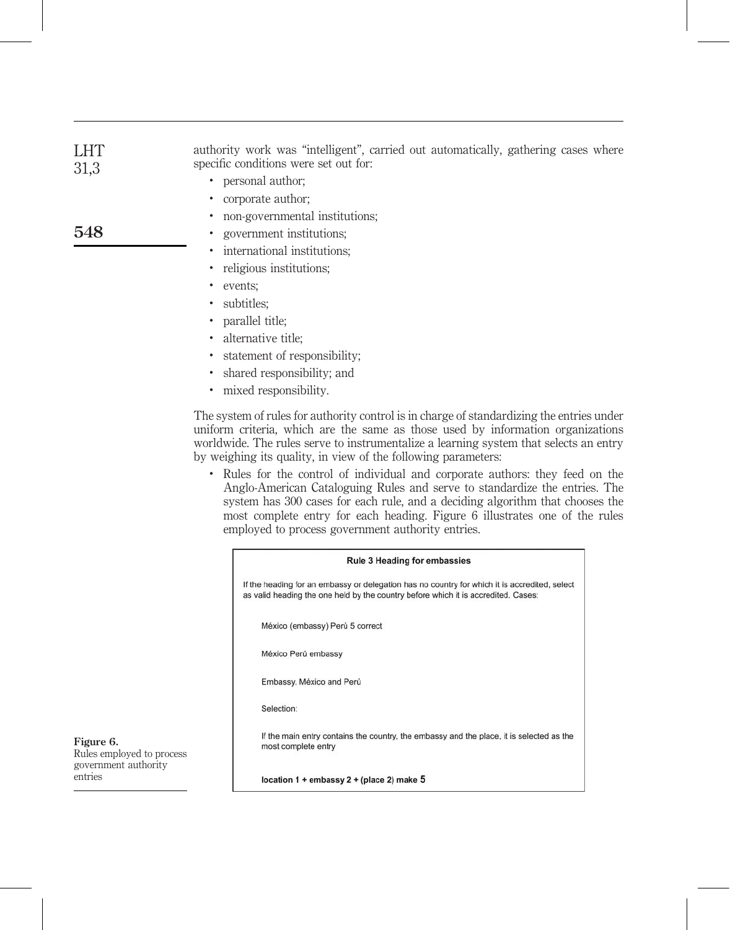| <b>LHT</b><br>31,3 | authority work was "intelligent", carried out automatically, gathering cases where<br>specific conditions were set out for:                                                                                                   |
|--------------------|-------------------------------------------------------------------------------------------------------------------------------------------------------------------------------------------------------------------------------|
|                    | • personal author;                                                                                                                                                                                                            |
|                    | corporate author;                                                                                                                                                                                                             |
|                    | non-governmental institutions;                                                                                                                                                                                                |
| 548                | • government institutions;                                                                                                                                                                                                    |
|                    | • international institutions;                                                                                                                                                                                                 |
|                    | • religious institutions;                                                                                                                                                                                                     |
|                    | • events;                                                                                                                                                                                                                     |
|                    | subtitles;                                                                                                                                                                                                                    |
|                    | • parallel title;                                                                                                                                                                                                             |
|                    | • alternative title;                                                                                                                                                                                                          |
|                    | • statement of responsibility;                                                                                                                                                                                                |
|                    | • shared responsibility; and                                                                                                                                                                                                  |
|                    | • mixed responsibility.                                                                                                                                                                                                       |
|                    | . The contract of the contract of the contract of the contract of the contract of the contract of the contract of the contract of the contract of the contract of the contract of the contract of the contract of the contrac |

The system of rules for authority control is in charge of standardizing the entries under uniform criteria, which are the same as those used by information organizations worldwide. The rules serve to instrumentalize a learning system that selects an entry by weighing its quality, in view of the following parameters:

. Rules for the control of individual and corporate authors: they feed on the Anglo-American Cataloguing Rules and serve to standardize the entries. The system has 300 cases for each rule, and a deciding algorithm that chooses the most complete entry for each heading. Figure 6 illustrates one of the rules employed to process government authority entries.

| <b>Rule 3 Heading for embassies</b>                                                                                                                                                 |
|-------------------------------------------------------------------------------------------------------------------------------------------------------------------------------------|
| If the heading for an embassy or delegation has no country for which it is accredited, select<br>as valid heading the one held by the country before which it is accredited. Cases: |
| México (embassy) Perú 5 correct                                                                                                                                                     |
| México Perú embassy                                                                                                                                                                 |
| Embassy. México and Perú                                                                                                                                                            |
| Selection:                                                                                                                                                                          |
| If the main entry contains the country, the embassy and the place, it is selected as the<br>most complete entry                                                                     |
| location $1 +$ embassy $2 +$ (place 2) make $5$                                                                                                                                     |

Figure 6. Rules employed to process government authority entries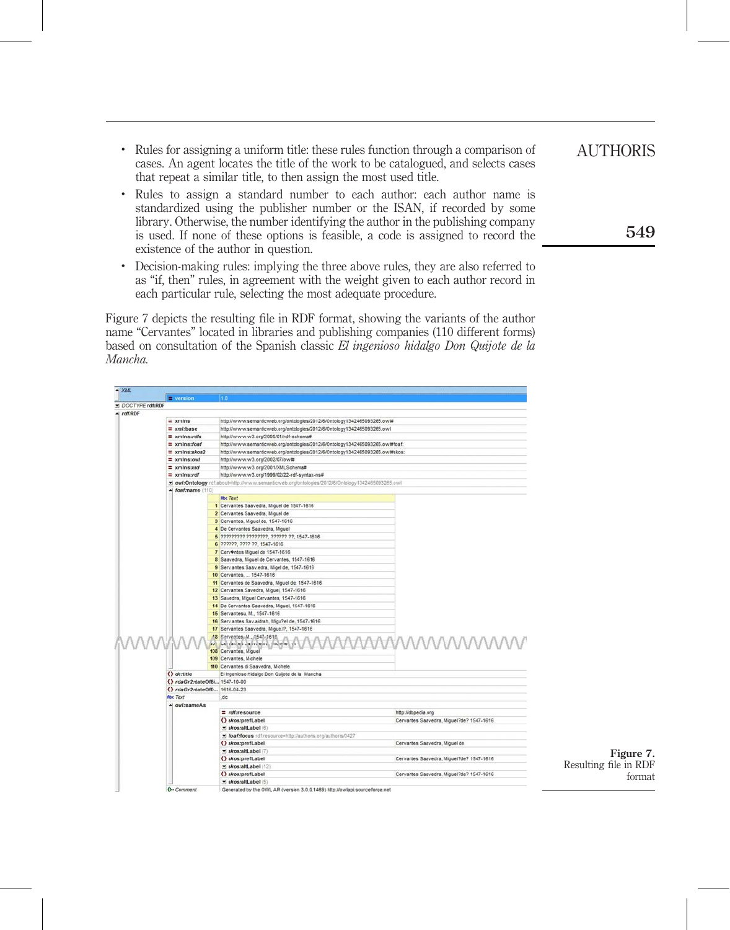- . Rules for assigning a uniform title: these rules function through a comparison of cases. An agent locates the title of the work to be catalogued, and selects cases that repeat a similar title, to then assign the most used title.
- . Rules to assign a standard number to each author: each author name is standardized using the publisher number or the ISAN, if recorded by some library. Otherwise, the number identifying the author in the publishing company is used. If none of these options is feasible, a code is assigned to record the existence of the author in question.
- . Decision-making rules: implying the three above rules, they are also referred to as "if, then" rules, in agreement with the weight given to each author record in each particular rule, selecting the most adequate procedure.

Figure 7 depicts the resulting file in RDF format, showing the variants of the author name "Cervantes" located in libraries and publishing companies (110 different forms) based on consultation of the Spanish classic El ingenioso hidalgo Don Quijote de la Mancha.



Figure 7. Resulting file in RDF format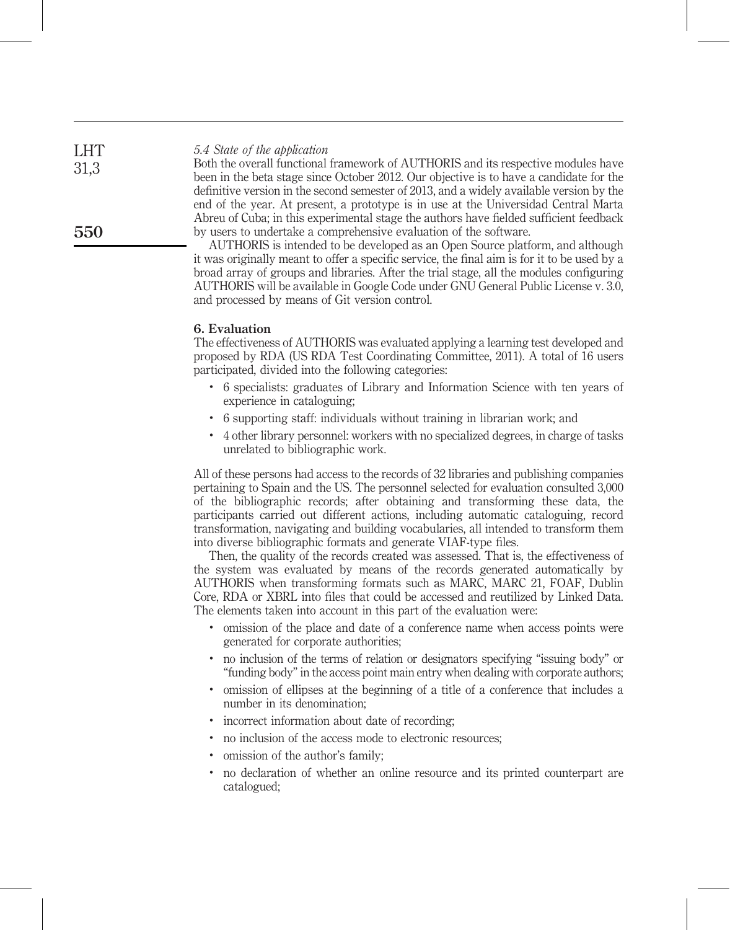| 5.4 State of the application |  |  |  |  |  |
|------------------------------|--|--|--|--|--|
|------------------------------|--|--|--|--|--|

Both the overall functional framework of AUTHORIS and its respective modules have been in the beta stage since October 2012. Our objective is to have a candidate for the definitive version in the second semester of 2013, and a widely available version by the end of the year. At present, a prototype is in use at the Universidad Central Marta Abreu of Cuba; in this experimental stage the authors have fielded sufficient feedback by users to undertake a comprehensive evaluation of the software.

AUTHORIS is intended to be developed as an Open Source platform, and although it was originally meant to offer a specific service, the final aim is for it to be used by a broad array of groups and libraries. After the trial stage, all the modules configuring AUTHORIS will be available in Google Code under GNU General Public License v. 3.0, and processed by means of Git version control.

### 6. Evaluation

The effectiveness of AUTHORIS was evaluated applying a learning test developed and proposed by RDA (US RDA Test Coordinating Committee, 2011). A total of 16 users participated, divided into the following categories:

- . 6 specialists: graduates of Library and Information Science with ten years of experience in cataloguing;
- . 6 supporting staff: individuals without training in librarian work; and
- . 4 other library personnel: workers with no specialized degrees, in charge of tasks unrelated to bibliographic work.

All of these persons had access to the records of 32 libraries and publishing companies pertaining to Spain and the US. The personnel selected for evaluation consulted 3,000 of the bibliographic records; after obtaining and transforming these data, the participants carried out different actions, including automatic cataloguing, record transformation, navigating and building vocabularies, all intended to transform them into diverse bibliographic formats and generate VIAF-type files.

Then, the quality of the records created was assessed. That is, the effectiveness of the system was evaluated by means of the records generated automatically by AUTHORIS when transforming formats such as MARC, MARC 21, FOAF, Dublin Core, RDA or XBRL into files that could be accessed and reutilized by Linked Data. The elements taken into account in this part of the evaluation were:

- . omission of the place and date of a conference name when access points were generated for corporate authorities;
- . no inclusion of the terms of relation or designators specifying "issuing body" or "funding body" in the access point main entry when dealing with corporate authors;
- . omission of ellipses at the beginning of a title of a conference that includes a number in its denomination;
- . incorrect information about date of recording;
- . no inclusion of the access mode to electronic resources;
- . omission of the author's family;
- . no declaration of whether an online resource and its printed counterpart are catalogued;

LHT 31,3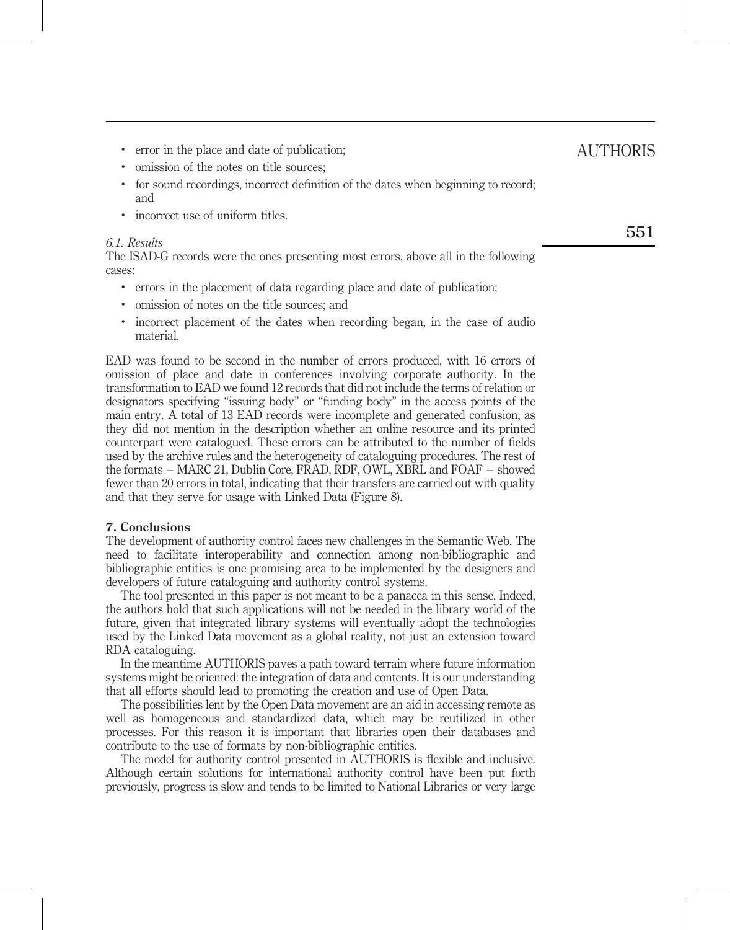- . error in the place and date of publication;
- . omission of the notes on title sources;
- . for sound recordings, incorrect definition of the dates when beginning to record; and
- . incorrect use of uniform titles.

#### 6.1. Results

The ISAD-G records were the ones presenting most errors, above all in the following cases:

- . errors in the placement of data regarding place and date of publication;
- . omission of notes on the title sources; and
- . incorrect placement of the dates when recording began, in the case of audio material.

EAD was found to be second in the number of errors produced, with 16 errors of omission of place and date in conferences involving corporate authority. In the transformation to EAD we found 12 records that did not include the terms of relation or designators specifying "issuing body" or "funding body" in the access points of the main entry. A total of 13 EAD records were incomplete and generated confusion, as they did not mention in the description whether an online resource and its printed counterpart were catalogued. These errors can be attributed to the number of fields used by the archive rules and the heterogeneity of cataloguing procedures. The rest of the formats – MARC 21, Dublin Core, FRAD, RDF, OWL, XBRL and FOAF – showed fewer than 20 errors in total, indicating that their transfers are carried out with quality and that they serve for usage with Linked Data (Figure 8).

#### 7. Conclusions

The development of authority control faces new challenges in the Semantic Web. The need to facilitate interoperability and connection among non-bibliographic and bibliographic entities is one promising area to be implemented by the designers and developers of future cataloguing and authority control systems.

The tool presented in this paper is not meant to be a panacea in this sense. Indeed, the authors hold that such applications will not be needed in the library world of the future, given that integrated library systems will eventually adopt the technologies used by the Linked Data movement as a global reality, not just an extension toward RDA cataloguing.

In the meantime AUTHORIS paves a path toward terrain where future information systems might be oriented: the integration of data and contents. It is our understanding that all efforts should lead to promoting the creation and use of Open Data.

The possibilities lent by the Open Data movement are an aid in accessing remote as well as homogeneous and standardized data, which may be reutilized in other processes. For this reason it is important that libraries open their databases and contribute to the use of formats by non-bibliographic entities.

The model for authority control presented in AUTHORIS is flexible and inclusive. Although certain solutions for international authority control have been put forth previously, progress is slow and tends to be limited to National Libraries or very large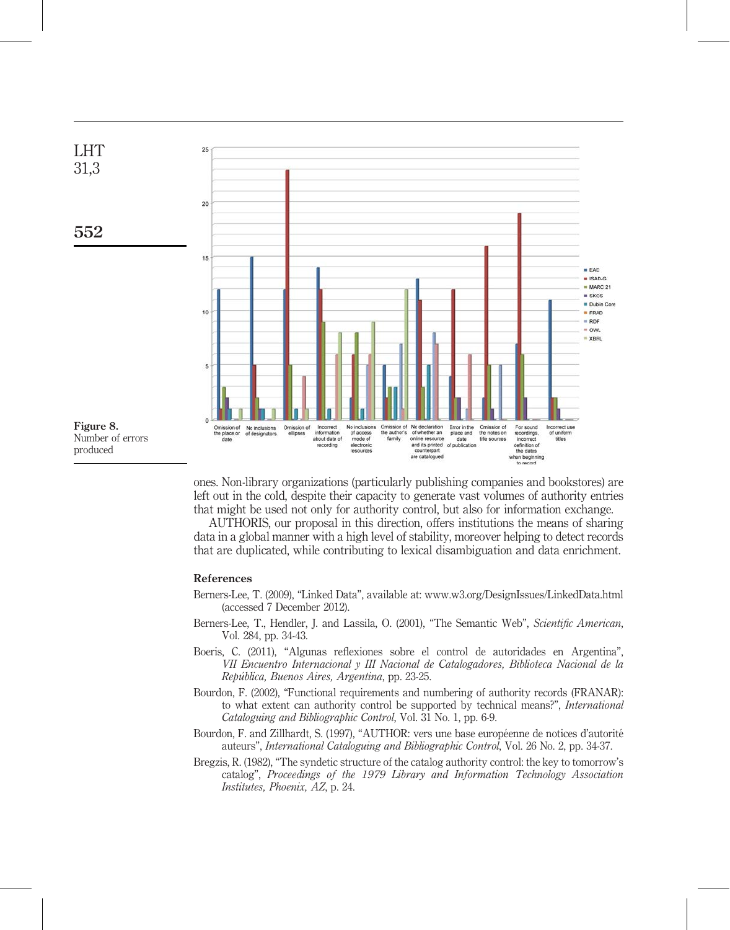

ones. Non-library organizations (particularly publishing companies and bookstores) are left out in the cold, despite their capacity to generate vast volumes of authority entries that might be used not only for authority control, but also for information exchange.

AUTHORIS, our proposal in this direction, offers institutions the means of sharing data in a global manner with a high level of stability, moreover helping to detect records that are duplicated, while contributing to lexical disambiguation and data enrichment.

#### References

- Berners-Lee, T. (2009), "Linked Data", available at: www.w3.org/DesignIssues/LinkedData.html (accessed 7 December 2012).
- Berners-Lee, T., Hendler, J. and Lassila, O. (2001), "The Semantic Web", Scientific American, Vol. 284, pp. 34-43.
- Boeris, C. (2011), "Algunas reflexiones sobre el control de autoridades en Argentina", VII Encuentro Internacional y III Nacional de Catalogadores, Biblioteca Nacional de la Repu´blica, Buenos Aires, Argentina, pp. 23-25.
- Bourdon, F. (2002), "Functional requirements and numbering of authority records (FRANAR): to what extent can authority control be supported by technical means?", International Cataloguing and Bibliographic Control, Vol. 31 No. 1, pp. 6-9.
- Bourdon, F. and Zillhardt, S. (1997), "AUTHOR: vers une base européenne de notices d'autorité auteurs", International Cataloguing and Bibliographic Control, Vol. 26 No. 2, pp. 34-37.
- Bregzis, R. (1982), "The syndetic structure of the catalog authority control: the key to tomorrow's catalog", Proceedings of the 1979 Library and Information Technology Association Institutes, Phoenix, AZ, p. 24.